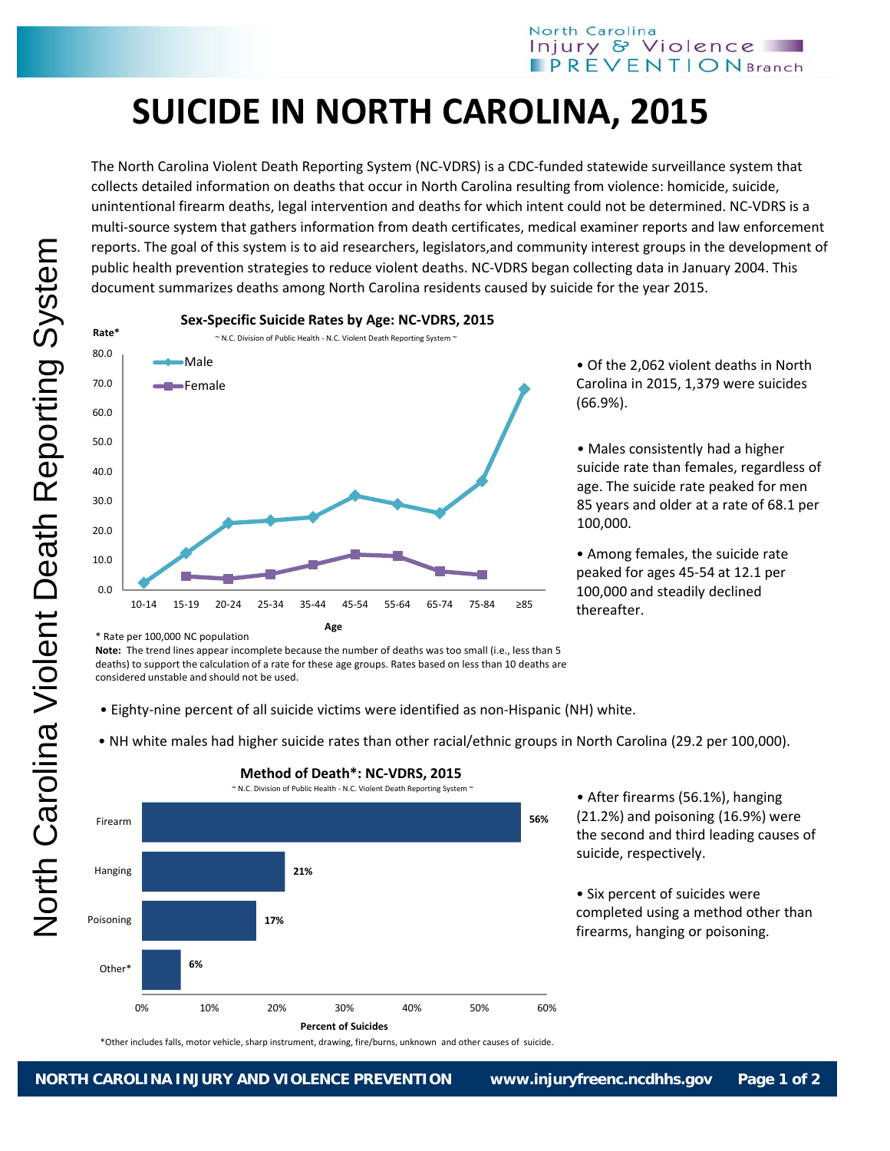## **SUICIDE IN NORTH CAROLINA, 2015**

The North Carolina Violent Death Reporting System (NC‐VDRS) is a CDC‐funded statewide surveillance system that collects detailed information on deaths that occur in North Carolina resulting from violence: homicide, suicide, unintentional firearm deaths, legal intervention and deaths for which intent could not be determined. NC‐VDRS is a multi‐source system that gathers information from death certificates, medical examiner reports and law enforcement reports. The goal of this system is to aid researchers, legislators,and community interest groups in the development of public health prevention strategies to reduce violent deaths. NC‐VDRS began collecting data in January 2004. This document summarizes deaths among North Carolina residents caused by suicide for the year 2015.



**Sex‐Specific Suicide Rates by Age: NC‐VDRS, 2015**

• Of the 2,062 violent deaths in North Carolina in 2015, 1,379 were suicides (66.9%).

• Males consistently had a higher suicide rate than females, regardless of age. The suicide rate peaked for men 85 years and older at a rate of 68.1 per 100,000.

• Among females, the suicide rate peaked for ages 45‐54 at 12.1 per 100,000 and steadily declined thereafter.

\* Rate per 100,000 NC population

**Note:** The trend lines appear incomplete because the number of deaths was too small (i.e., less than 5 deaths) to support the calculation of a rate for these age groups. Rates based on less than 10 deaths are considered unstable and should not be used.

- Eighty‐nine percent of all suicide victims were identified as non‐Hispanic (NH) white.
- NH white males had higher suicide rates than other racial/ethnic groups in North Carolina (29.2 per 100,000).



\*Other includes falls, motor vehicle, sharp instrument, drawing, fire/burns, unknown and other causes of suicide.

**Method of Death\*: NC‐VDRS, 2015**

• After firearms (56.1%), hanging (21.2%) and poisoning (16.9%) were the second and third leading causes of suicide, respectively.

• Six percent of suicides were completed using a method other than firearms, hanging or poisoning.